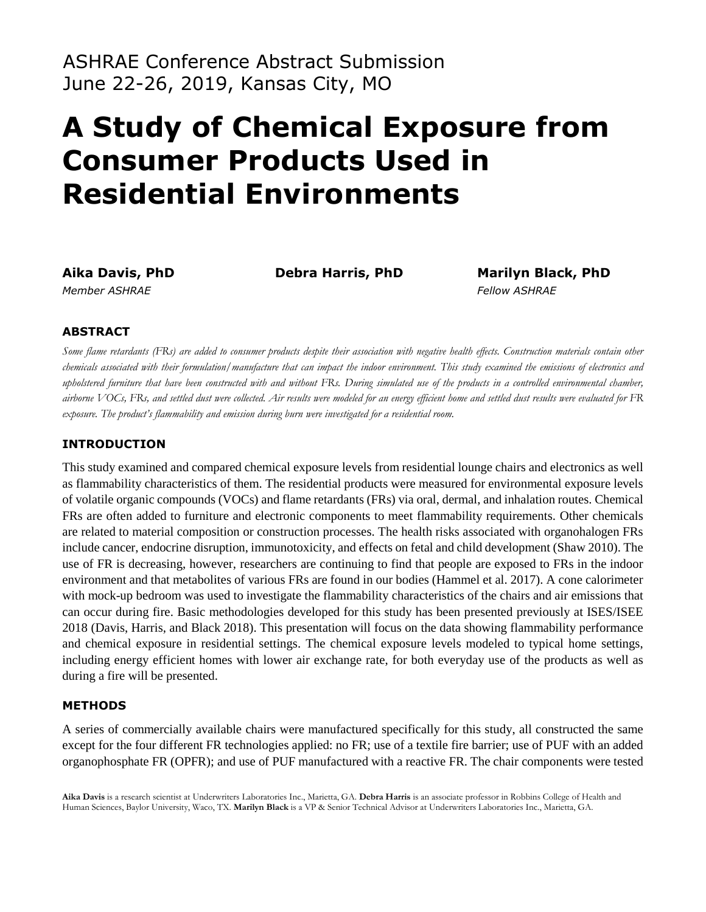ASHRAE Conference Abstract Submission June 22-26, 2019, Kansas City, MO

# **A Study of Chemical Exposure from Consumer Products Used in Residential Environments**

**Aika Davis, PhD Debra Harris, PhD Marilyn Black, PhD**  *Member ASHRAE Fellow ASHRAE* 

## **ABSTRACT**

*Some flame retardants (FRs) are added to consumer products despite their association with negative health effects. Construction materials contain other chemicals associated with their formulation/manufacture that can impact the indoor environment. This study examined the emissions of electronics and upholstered furniture that have been constructed with and without FRs. During simulated use of the products in a controlled environmental chamber, airborne VOCs, FRs, and settled dust were collected. Air results were modeled for an energy efficient home and settled dust results were evaluated for FR exposure. The product's flammability and emission during burn were investigated for a residential room.* 

## **INTRODUCTION**

This study examined and compared chemical exposure levels from residential lounge chairs and electronics as well as flammability characteristics of them. The residential products were measured for environmental exposure levels of volatile organic compounds (VOCs) and flame retardants (FRs) via oral, dermal, and inhalation routes. Chemical FRs are often added to furniture and electronic components to meet flammability requirements. Other chemicals are related to material composition or construction processes. The health risks associated with organohalogen FRs include cancer, endocrine disruption, immunotoxicity, and effects on fetal and child development (Shaw 2010). The use of FR is decreasing, however, researchers are continuing to find that people are exposed to FRs in the indoor environment and that metabolites of various FRs are found in our bodies (Hammel et al. 2017). A cone calorimeter with mock-up bedroom was used to investigate the flammability characteristics of the chairs and air emissions that can occur during fire. Basic methodologies developed for this study has been presented previously at ISES/ISEE 2018 (Davis, Harris, and Black 2018). This presentation will focus on the data showing flammability performance and chemical exposure in residential settings. The chemical exposure levels modeled to typical home settings, including energy efficient homes with lower air exchange rate, for both everyday use of the products as well as during a fire will be presented.

#### **METHODS**

A series of commercially available chairs were manufactured specifically for this study, all constructed the same except for the four different FR technologies applied: no FR; use of a textile fire barrier; use of PUF with an added organophosphate FR (OPFR); and use of PUF manufactured with a reactive FR. The chair components were tested

**Aika Davis** is a research scientist at Underwriters Laboratories Inc., Marietta, GA. **Debra Harris** is an associate professor in Robbins College of Health and Human Sciences, Baylor University, Waco, TX. **Marilyn Black** is a VP & Senior Technical Advisor at Underwriters Laboratories Inc., Marietta, GA.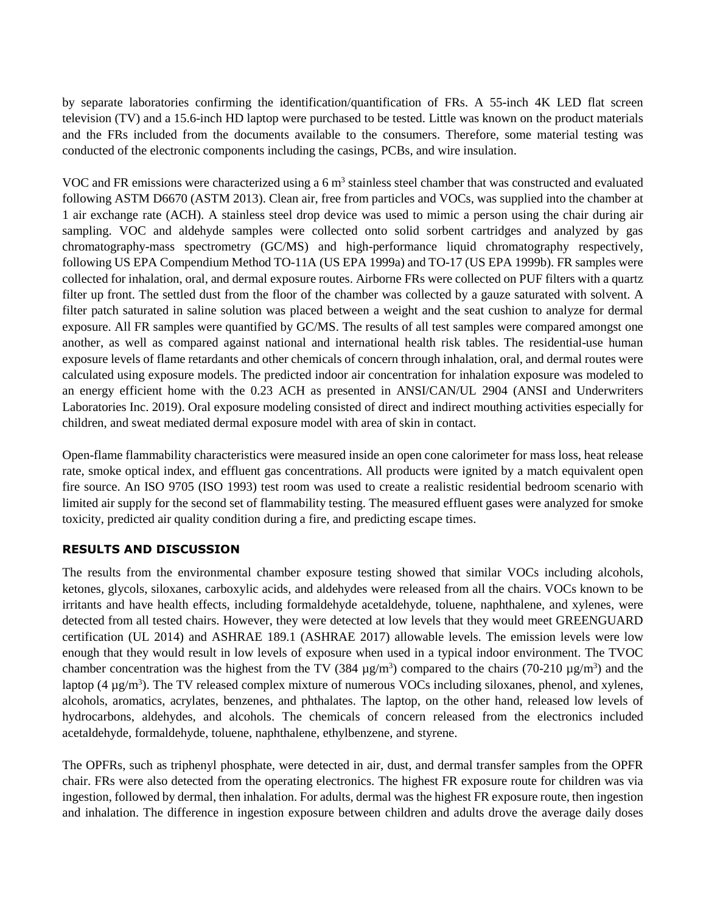by separate laboratories confirming the identification/quantification of FRs. A 55-inch 4K LED flat screen television (TV) and a 15.6-inch HD laptop were purchased to be tested. Little was known on the product materials and the FRs included from the documents available to the consumers. Therefore, some material testing was conducted of the electronic components including the casings, PCBs, and wire insulation.

VOC and FR emissions were characterized using a  $6 \text{ m}^3$  stainless steel chamber that was constructed and evaluated following ASTM D6670 (ASTM 2013). Clean air, free from particles and VOCs, was supplied into the chamber at 1 air exchange rate (ACH). A stainless steel drop device was used to mimic a person using the chair during air sampling. VOC and aldehyde samples were collected onto solid sorbent cartridges and analyzed by gas chromatography-mass spectrometry (GC/MS) and high-performance liquid chromatography respectively, following US EPA Compendium Method TO-11A (US EPA 1999a) and TO-17 (US EPA 1999b). FR samples were collected for inhalation, oral, and dermal exposure routes. Airborne FRs were collected on PUF filters with a quartz filter up front. The settled dust from the floor of the chamber was collected by a gauze saturated with solvent. A filter patch saturated in saline solution was placed between a weight and the seat cushion to analyze for dermal exposure. All FR samples were quantified by GC/MS. The results of all test samples were compared amongst one another, as well as compared against national and international health risk tables. The residential-use human exposure levels of flame retardants and other chemicals of concern through inhalation, oral, and dermal routes were calculated using exposure models. The predicted indoor air concentration for inhalation exposure was modeled to an energy efficient home with the 0.23 ACH as presented in ANSI/CAN/UL 2904 (ANSI and Underwriters Laboratories Inc. 2019). Oral exposure modeling consisted of direct and indirect mouthing activities especially for children, and sweat mediated dermal exposure model with area of skin in contact.

Open-flame flammability characteristics were measured inside an open cone calorimeter for mass loss, heat release rate, smoke optical index, and effluent gas concentrations. All products were ignited by a match equivalent open fire source. An ISO 9705 (ISO 1993) test room was used to create a realistic residential bedroom scenario with limited air supply for the second set of flammability testing. The measured effluent gases were analyzed for smoke toxicity, predicted air quality condition during a fire, and predicting escape times.

#### **RESULTS AND DISCUSSION**

The results from the environmental chamber exposure testing showed that similar VOCs including alcohols, ketones, glycols, siloxanes, carboxylic acids, and aldehydes were released from all the chairs. VOCs known to be irritants and have health effects, including formaldehyde acetaldehyde, toluene, naphthalene, and xylenes, were detected from all tested chairs. However, they were detected at low levels that they would meet GREENGUARD certification (UL 2014) and ASHRAE 189.1 (ASHRAE 2017) allowable levels. The emission levels were low enough that they would result in low levels of exposure when used in a typical indoor environment. The TVOC chamber concentration was the highest from the TV (384  $\mu$ g/m<sup>3</sup>) compared to the chairs (70-210  $\mu$ g/m<sup>3</sup>) and the laptop  $(4 \mu g/m<sup>3</sup>)$ . The TV released complex mixture of numerous VOCs including siloxanes, phenol, and xylenes, alcohols, aromatics, acrylates, benzenes, and phthalates. The laptop, on the other hand, released low levels of hydrocarbons, aldehydes, and alcohols. The chemicals of concern released from the electronics included acetaldehyde, formaldehyde, toluene, naphthalene, ethylbenzene, and styrene.

The OPFRs, such as triphenyl phosphate, were detected in air, dust, and dermal transfer samples from the OPFR chair. FRs were also detected from the operating electronics. The highest FR exposure route for children was via ingestion, followed by dermal, then inhalation. For adults, dermal was the highest FR exposure route, then ingestion and inhalation. The difference in ingestion exposure between children and adults drove the average daily doses